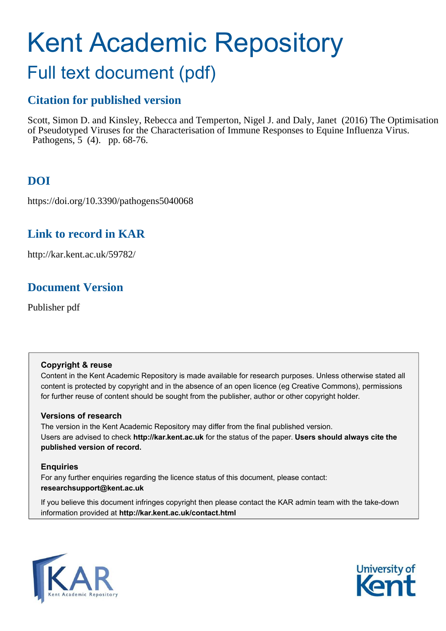# Kent Academic Repository

## Full text document (pdf)

## **Citation for published version**

Scott, Simon D. and Kinsley, Rebecca and Temperton, Nigel J. and Daly, Janet (2016) The Optimisation of Pseudotyped Viruses for the Characterisation of Immune Responses to Equine Influenza Virus. Pathogens, 5 (4). pp. 68-76.

## **DOI**

https://doi.org/10.3390/pathogens5040068

## **Link to record in KAR**

http://kar.kent.ac.uk/59782/

## **Document Version**

Publisher pdf

#### **Copyright & reuse**

Content in the Kent Academic Repository is made available for research purposes. Unless otherwise stated all content is protected by copyright and in the absence of an open licence (eg Creative Commons), permissions for further reuse of content should be sought from the publisher, author or other copyright holder.

#### **Versions of research**

The version in the Kent Academic Repository may differ from the final published version. Users are advised to check **http://kar.kent.ac.uk** for the status of the paper. **Users should always cite the published version of record.**

#### **Enquiries**

For any further enquiries regarding the licence status of this document, please contact: **researchsupport@kent.ac.uk**

If you believe this document infringes copyright then please contact the KAR admin team with the take-down information provided at **http://kar.kent.ac.uk/contact.html**



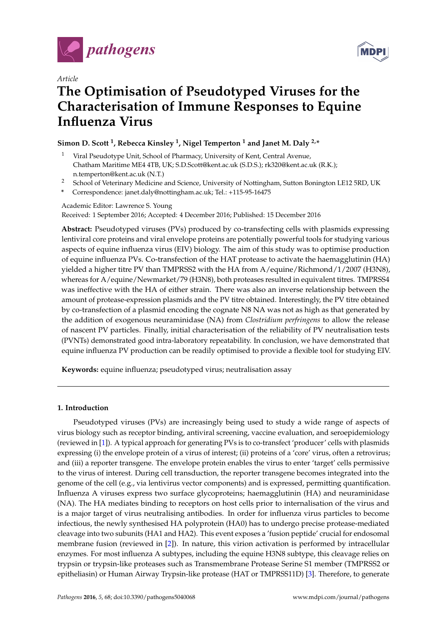

*Article*



## **The Optimisation of Pseudotyped Viruses for the Characterisation of Immune Responses to Equine Influenza Virus**

#### **Simon D. Scott <sup>1</sup> , Rebecca Kinsley <sup>1</sup> , Nigel Temperton <sup>1</sup> and Janet M. Daly 2,\***

- Viral Pseudotype Unit, School of Pharmacy, University of Kent, Central Avenue, Chatham Maritime ME4 4TB, UK; S.D.Scott@kent.ac.uk (S.D.S.); rk320@kent.ac.uk (R.K.); n.temperton@kent.ac.uk (N.T.)
- <sup>2</sup> School of Veterinary Medicine and Science, University of Nottingham, Sutton Bonington LE12 5RD, UK
- **\*** Correspondence: janet.daly@nottingham.ac.uk; Tel.: +115-95-16475

Academic Editor: Lawrence S. Young Received: 1 September 2016; Accepted: 4 December 2016; Published: 15 December 2016

**Abstract:** Pseudotyped viruses (PVs) produced by co-transfecting cells with plasmids expressing lentiviral core proteins and viral envelope proteins are potentially powerful tools for studying various aspects of equine influenza virus (EIV) biology. The aim of this study was to optimise production of equine influenza PVs. Co-transfection of the HAT protease to activate the haemagglutinin (HA) yielded a higher titre PV than TMPRSS2 with the HA from A/equine/Richmond/1/2007 (H3N8), whereas for A/equine/Newmarket/79 (H3N8), both proteases resulted in equivalent titres. TMPRSS4 was ineffective with the HA of either strain. There was also an inverse relationship between the amount of protease-expression plasmids and the PV titre obtained. Interestingly, the PV titre obtained by co-transfection of a plasmid encoding the cognate N8 NA was not as high as that generated by the addition of exogenous neuraminidase (NA) from *Clostridium perfringens* to allow the release of nascent PV particles. Finally, initial characterisation of the reliability of PV neutralisation tests (PVNTs) demonstrated good intra-laboratory repeatability. In conclusion, we have demonstrated that equine influenza PV production can be readily optimised to provide a flexible tool for studying EIV.

**Keywords:** equine influenza; pseudotyped virus; neutralisation assay

#### **1. Introduction**

Pseudotyped viruses (PVs) are increasingly being used to study a wide range of aspects of virus biology such as receptor binding, antiviral screening, vaccine evaluation, and seroepidemiology (reviewed in [\[1\]](#page-6-0)). A typical approach for generating PVs is to co-transfect 'producer' cells with plasmids expressing (i) the envelope protein of a virus of interest; (ii) proteins of a 'core' virus, often a retrovirus; and (iii) a reporter transgene. The envelope protein enables the virus to enter 'target' cells permissive to the virus of interest. During cell transduction, the reporter transgene becomes integrated into the genome of the cell (e.g., via lentivirus vector components) and is expressed, permitting quantification. Influenza A viruses express two surface glycoproteins; haemagglutinin (HA) and neuraminidase (NA). The HA mediates binding to receptors on host cells prior to internalisation of the virus and is a major target of virus neutralising antibodies. In order for influenza virus particles to become infectious, the newly synthesised HA polyprotein (HA0) has to undergo precise protease-mediated cleavage into two subunits (HA1 and HA2). This event exposes a 'fusion peptide' crucial for endosomal membrane fusion (reviewed in [\[2\]](#page-6-1)). In nature, this virion activation is performed by intracellular enzymes. For most influenza A subtypes, including the equine H3N8 subtype, this cleavage relies on trypsin or trypsin-like proteases such as Transmembrane Protease Serine S1 member (TMPRSS2 or epitheliasin) or Human Airway Trypsin-like protease (HAT or TMPRSS11D) [\[3\]](#page-6-2). Therefore, to generate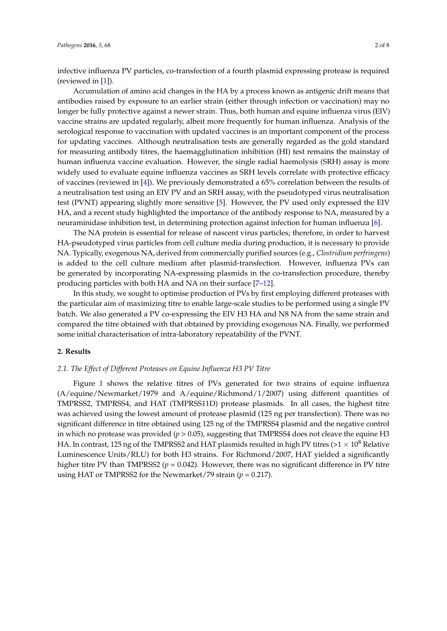<span id="page-2-0"></span>infective influenza PV particles, co-transfection of a fourth plasmid expressing protease is required (reviewed in [\[1\]](#page-6-0)).

Accumulation of amino acid changes in the HA by a process known as antigenic drift means that antibodies raised by exposure to an earlier strain (either through infection or vaccination) may no longer be fully protective against a newer strain. Thus, both human and equine influenza virus (EIV) vaccine strains are updated regularly, albeit more frequently for human influenza. Analysis of the serological response to vaccination with updated vaccines is an important component of the process for updating vaccines. Although neutralisation tests are generally regarded as the gold standard for measuring antibody titres, the haemagglutination inhibition (HI) test remains the mainstay of human influenza vaccine evaluation. However, the single radial haemolysis (SRH) assay is more widely used to evaluate equine influenza vaccines as SRH levels correlate with protective efficacy of vaccines (reviewed in [\[4\]](#page-6-3)). We previously demonstrated a 65% correlation between the results of a neutralisation test using an EIV PV and an SRH assay, with the pseudotyped virus neutralisation test (PVNT) appearing slightly more sensitive [\[5\]](#page-6-4). However, the PV used only expressed the EIV HA, and a recent study highlighted the importance of the antibody response to NA, measured by a neuraminidase inhibition test, in determining protection against infection for human influenza [\[6\]](#page-6-5).

The NA protein is essential for release of nascent virus particles; therefore, in order to harvest HA-pseudotyped virus particles from cell culture media during production, it is necessary to provide NA. Typically, exogenous NA, derived from commercially purified sources (e.g., *Clostridium perfringens*) is added to the cell culture medium after plasmid-transfection. However, influenza PVs can be generated by incorporating NA-expressing plasmids in the co-transfection procedure, thereby producing particles with both HA and NA on their surface [\[7](#page-6-6)[–12\]](#page-6-7).

In this study, we sought to optimise production of PVs by first employing different proteases with the particular aim of maximizing titre to enable large-scale studies to be performed using a single PV batch. We also generated a PV co-expressing the EIV H3 HA and N8 NA from the same strain and compared the titre obtained with that obtained by providing exogenous NA. Finally, we performed some initial characterisation of intra-laboratory repeatability of the PVNT.

#### **2. Results**

#### *2.1. The Effect of Different Proteases on Equine Influenza H3 PV Titre*

Figure [1](#page-2-0) shows the relative titres of PVs generated for two strains of equine influenza (A/equine/Newmarket/1979 and A/equine/Richmond/1/2007) using different quantities of TMPRSS2, TMPRSS4, and HAT (TMPRSS11D) protease plasmids. In all cases, the highest titre was achieved using the lowest amount of protease plasmid (125 ng per transfection). There was no significant difference in titre obtained using 125 ng of the TMPRSS4 plasmid and the negative control in which no protease was provided (*p* > 0.05), suggesting that TMPRSS4 does not cleave the equine H3 HA. In contrast, 125 ng of the TMPRSS2 and HAT plasmids resulted in high PV titres ( $>1 \times 10^8$  Relative Luminescence Units/RLU) for both H3 strains. For Richmond/2007, HAT yielded a significantly higher titre PV than TMPRSS2 ( $p = 0.042$ ). However, there was no significant difference in PV titre using HAT or TMPRSS2 for the Newmarket/79 strain (*p* = 0.217).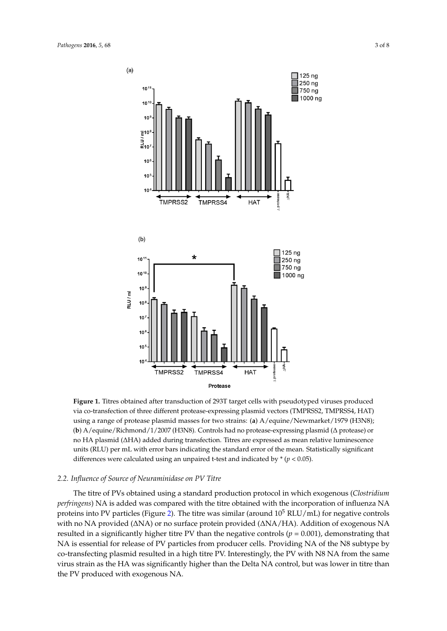<span id="page-3-0"></span>

<span id="page-3-1"></span>(**b**) A/equine/Richmond/1/2007 (H3N8). Controls had no protease-expressing plasmid (∆ protease) or no HA plasmid (∆HA) added during transfection. Titres are expressed as mean relative luminescence **Figure 1.** Titres obtained after transduction of 293T target cells with pseudotyped viruses produced via co-transfection of three different protease-expressing plasmid vectors (TMPRSS2, TMPRSS4, HAT) using a range of protease plasmid masses for two strains: (**a**) A/equine/Newmarket/1979 (H3N8); units (RLU) per mL with error bars indicating the standard error of the mean. Statistically significant differences were calculated using an unpaired t-test and indicated by \* (*p* < 0.05).

#### *2.2. Influence of Source of Neuraminidase on PV Titre*

The titre of PVs obtained using a standard production protocol in which exogenous (*Clostridium perfringens*) NA is added was compared with the titre obtained with the incorporation of influenza NA proteins into PV particles (Figure [2\)](#page-3-0). The titre was similar (around  $10^5$  RLU/mL) for negative controls with no NA provided (∆NA) or no surface protein provided (∆NA/HA). Addition of exogenous NA resulted in a significantly higher titre PV than the negative controls  $(p = 0.001)$ , demonstrating that NA is essential for release of PV particles from producer cells. Providing NA of the N8 subtype by co-transfecting plasmid resulted in a high titre PV. Interestingly, the PV with N8 NA from the same virus strain as the HA was significantly higher than the Delta NA control, but was lower in titre than the PV produced with exogenous NA.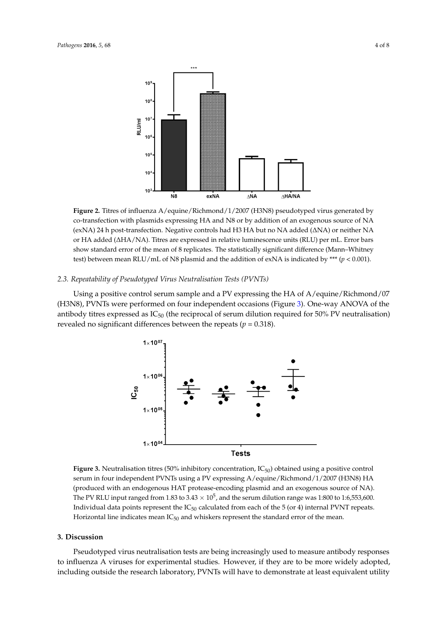

(exNA) 24 h post-transfection. Negative controls had H3 HA but no NA added (∆NA) or neither NA ore<br>→ Alexanded or HA added (∆HA/NA). Titres are expressed in relative luminescence units (RLU) per mL. Error bars **Figure 2.** Titres of influenza A/equine/Richmond/1/2007 (H3N8) pseudotyped virus generated by co-transfection with plasmids expressing HA and N8 or by addition of an exogenous source of NA show standard error of the mean of 8 replicates. The statistically significant difference (Mann–Whitney test) between mean RLU/mL of N8 plasmid and the addition of exNA is indicated by \*\*\*  $(p < 0.001)$ .

#### *2.3. Repeatability of Pseudotyped Virus Neutralisation Tests (PVNTs)*

Using a positive control serum sample and a PV expressing the HA of A/equine/Richmond/07 (H3N8), PVNTs were performed on four independent occasions (Figure [3\)](#page-3-1). One-way ANOVA of the antibody titres expressed as  $IC_{50}$  (the reciprocal of serum dilution required for 50% PV neutralisation) revealed no significant differences between the repeats ( $p = 0.318$ ).



**Figure 3.** Neutralisation titres (50% inhibitory concentration, IC<sub>50</sub>) obtained using a positive control serum in four independent PVNTs using a PV expressing A/equine/Richmond/1/2007 (H3N8) HA (produced with an endogenous HAT protease-encoding plasmid and an exogenous source of NA). The PV RLU input ranged from 1.83 to  $3.43 \times 10^5$ , and the serum dilution range was 1:800 to 1:6,553,600. Individual data points represent the IC<sub>50</sub> calculated from each of the 5 (or 4) internal PVNT repeats. Horizontal line indicates mean  $IC_{50}$  and whiskers represent the standard error of the mean.

#### **3. Discussion**

Pseudotyped virus neutralisation tests are being increasingly used to measure antibody responses to influenza A viruses for experimental studies. However, if they are to be more widely adopted, including outside the research laboratory, PVNTs will have to demonstrate at least equivalent utility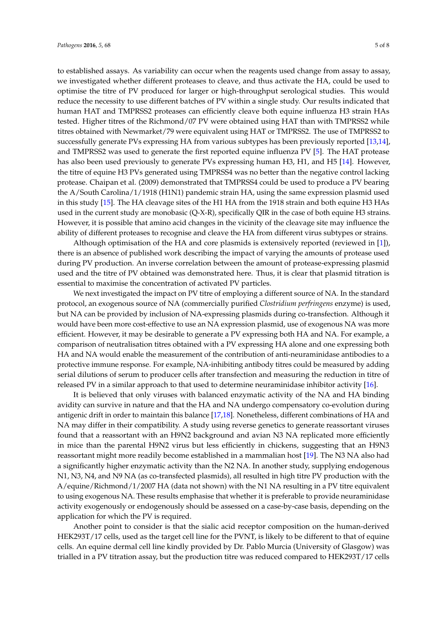to established assays. As variability can occur when the reagents used change from assay to assay, we investigated whether different proteases to cleave, and thus activate the HA, could be used to optimise the titre of PV produced for larger or high-throughput serological studies. This would reduce the necessity to use different batches of PV within a single study. Our results indicated that human HAT and TMPRSS2 proteases can efficiently cleave both equine influenza H3 strain HAs tested. Higher titres of the Richmond/07 PV were obtained using HAT than with TMPRSS2 while titres obtained with Newmarket/79 were equivalent using HAT or TMPRSS2. The use of TMPRSS2 to successfully generate PVs expressing HA from various subtypes has been previously reported [\[13](#page-7-0)[,14\]](#page-7-1), and TMPRSS2 was used to generate the first reported equine influenza PV [\[5\]](#page-6-4). The HAT protease has also been used previously to generate PVs expressing human H3, H1, and H5 [\[14\]](#page-7-1). However, the titre of equine H3 PVs generated using TMPRSS4 was no better than the negative control lacking protease. Chaipan et al. (2009) demonstrated that TMPRSS4 could be used to produce a PV bearing the A/South Carolina/1/1918 (H1N1) pandemic strain HA, using the same expression plasmid used in this study [\[15\]](#page-7-2). The HA cleavage sites of the H1 HA from the 1918 strain and both equine H3 HAs used in the current study are monobasic (Q-X-R), specifically QIR in the case of both equine H3 strains. However, it is possible that amino acid changes in the vicinity of the cleavage site may influence the ability of different proteases to recognise and cleave the HA from different virus subtypes or strains.

Although optimisation of the HA and core plasmids is extensively reported (reviewed in [\[1\]](#page-6-0)), there is an absence of published work describing the impact of varying the amounts of protease used during PV production. An inverse correlation between the amount of protease-expressing plasmid used and the titre of PV obtained was demonstrated here. Thus, it is clear that plasmid titration is essential to maximise the concentration of activated PV particles.

We next investigated the impact on PV titre of employing a different source of NA. In the standard protocol, an exogenous source of NA (commercially purified *Clostridium perfringens* enzyme) is used, but NA can be provided by inclusion of NA-expressing plasmids during co-transfection. Although it would have been more cost-effective to use an NA expression plasmid, use of exogenous NA was more efficient. However, it may be desirable to generate a PV expressing both HA and NA. For example, a comparison of neutralisation titres obtained with a PV expressing HA alone and one expressing both HA and NA would enable the measurement of the contribution of anti-neuraminidase antibodies to a protective immune response. For example, NA-inhibiting antibody titres could be measured by adding serial dilutions of serum to producer cells after transfection and measuring the reduction in titre of released PV in a similar approach to that used to determine neuraminidase inhibitor activity [\[16\]](#page-7-3).

It is believed that only viruses with balanced enzymatic activity of the NA and HA binding avidity can survive in nature and that the HA and NA undergo compensatory co-evolution during antigenic drift in order to maintain this balance [\[17](#page-7-4)[,18\]](#page-7-5). Nonetheless, different combinations of HA and NA may differ in their compatibility. A study using reverse genetics to generate reassortant viruses found that a reassortant with an H9N2 background and avian N3 NA replicated more efficiently in mice than the parental H9N2 virus but less efficiently in chickens, suggesting that an H9N3 reassortant might more readily become established in a mammalian host [\[19\]](#page-7-6). The N3 NA also had a significantly higher enzymatic activity than the N2 NA. In another study, supplying endogenous N1, N3, N4, and N9 NA (as co-transfected plasmids), all resulted in high titre PV production with the A/equine/Richmond/1/2007 HA (data not shown) with the N1 NA resulting in a PV titre equivalent to using exogenous NA. These results emphasise that whether it is preferable to provide neuraminidase activity exogenously or endogenously should be assessed on a case-by-case basis, depending on the application for which the PV is required.

Another point to consider is that the sialic acid receptor composition on the human-derived HEK293T/17 cells, used as the target cell line for the PVNT, is likely to be different to that of equine cells. An equine dermal cell line kindly provided by Dr. Pablo Murcia (University of Glasgow) was trialled in a PV titration assay, but the production titre was reduced compared to HEK293T/17 cells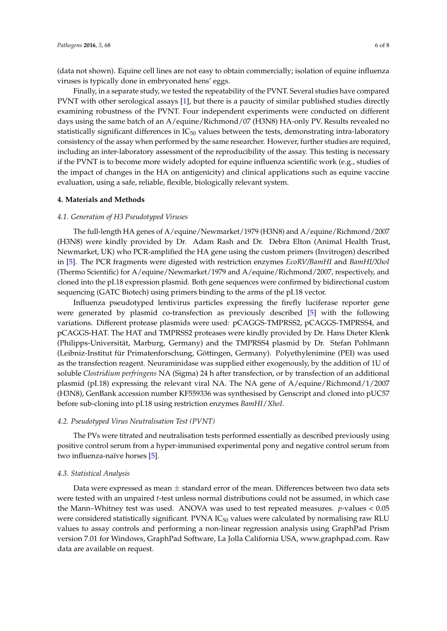(data not shown). Equine cell lines are not easy to obtain commercially; isolation of equine influenza viruses is typically done in embryonated hens' eggs.

Finally, in a separate study, we tested the repeatability of the PVNT. Several studies have compared PVNT with other serological assays [\[1\]](#page-6-0), but there is a paucity of similar published studies directly examining robustness of the PVNT. Four independent experiments were conducted on different days using the same batch of an A/equine/Richmond/07 (H3N8) HA-only PV. Results revealed no statistically significant differences in  $IC_{50}$  values between the tests, demonstrating intra-laboratory consistency of the assay when performed by the same researcher. However, further studies are required, including an inter-laboratory assessment of the reproducibility of the assay. This testing is necessary if the PVNT is to become more widely adopted for equine influenza scientific work (e.g., studies of the impact of changes in the HA on antigenicity) and clinical applications such as equine vaccine evaluation, using a safe, reliable, flexible, biologically relevant system.

#### **4. Materials and Methods**

#### *4.1. Generation of H3 Pseudotyped Viruses*

<span id="page-6-2"></span><span id="page-6-1"></span><span id="page-6-0"></span>The full-length HA genes of A/equine/Newmarket/1979 (H3N8) and A/equine/Richmond/2007 (H3N8) were kindly provided by Dr. Adam Rash and Dr. Debra Elton (Animal Health Trust, Newmarket, UK) who PCR-amplified the HA gene using the custom primers (Invitrogen) described in [\[5\]](#page-6-4). The PCR fragments were digested with restriction enzymes *EcoRV/BamHI* and *BamHI/XhoI* (Thermo Scientific) for A/equine/Newmarket/1979 and A/equine/Richmond/2007, respectively, and cloned into the pI.18 expression plasmid. Both gene sequences were confirmed by bidirectional custom sequencing (GATC Biotech) using primers binding to the arms of the pI.18 vector.

<span id="page-6-5"></span><span id="page-6-4"></span><span id="page-6-3"></span>Influenza pseudotyped lentivirus particles expressing the firefly luciferase reporter gene were generated by plasmid co-transfection as previously described [\[5\]](#page-6-4) with the following variations. Different protease plasmids were used: pCAGGS-TMPRSS2, pCAGGS-TMPRSS4, and pCAGGS-HAT. The HAT and TMPRSS2 proteases were kindly provided by Dr. Hans Dieter Klenk (Philipps-Universität, Marburg, Germany) and the TMPRSS4 plasmid by Dr. Stefan Pohlmann (Leibniz-Institut für Primatenforschung, Göttingen, Germany). Polyethylenimine (PEI) was used as the transfection reagent. Neuraminidase was supplied either exogenously, by the addition of 1U of soluble *Clostridium perfringens* NA (Sigma) 24 h after transfection, or by transfection of an additional plasmid (pI.18) expressing the relevant viral NA. The NA gene of A/equine/Richmond/1/2007 (H3N8), GenBank accession number KF559336 was synthesised by Genscript and cloned into pUC57 before sub-cloning into pI.18 using restriction enzymes *BamHI*/*XhoI*.

#### <span id="page-6-6"></span>*4.2. Pseudotyped Virus Neutralisation Test (PVNT)*

The PVs were titrated and neutralisation tests performed essentially as described previously using positive control serum from a hyper-immunised experimental pony and negative control serum from two influenza-naïve horses [\[5\]](#page-6-4).

#### *4.3. Statistical Analysis*

<span id="page-6-7"></span>Data were expressed as mean  $\pm$  standard error of the mean. Differences between two data sets were tested with an unpaired *t*-test unless normal distributions could not be assumed, in which case the Mann–Whitney test was used. ANOVA was used to test repeated measures. *p*-values < 0.05 were considered statistically significant. PVNA  $IC_{50}$  values were calculated by normalising raw RLU values to assay controls and performing a non-linear regression analysis using GraphPad Prism version 7.01 for Windows, GraphPad Software, La Jolla California USA, [www.graphpad.com.](www.graphpad.com) Raw data are available on request.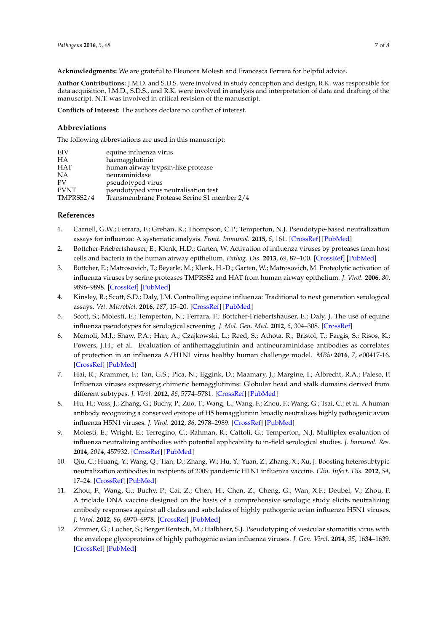<span id="page-7-0"></span>**Acknowledgments:** We are grateful to Eleonora Molesti and Francesca Ferrara for helpful advice.

<span id="page-7-1"></span>**Author Contributions:** J.M.D. and S.D.S. were involved in study conception and design, R.K. was responsible for data acquisition, J.M.D., S.D.S., and R.K. were involved in analysis and interpretation of data and drafting of the manuscript. N.T. was involved in critical revision of the manuscript.

**Conflicts of Interest:** The authors declare no conflict of interest.

#### **Abbreviations**

<span id="page-7-2"></span>The following abbreviations are used in this manuscript:

<span id="page-7-3"></span>

| EIV         | equine influenza virus                      |
|-------------|---------------------------------------------|
| HА          | haemagglutinin                              |
| <b>HAT</b>  | human airway trypsin-like protease          |
| NА          | neuraminidase                               |
| <b>PV</b>   | pseudotyped virus                           |
| <b>PVNT</b> | pseudotyped virus neutralisation test       |
| TMPRSS2/4   | Transmembrane Protease Serine S1 member 2/4 |

#### <span id="page-7-5"></span><span id="page-7-4"></span>**References**

- <span id="page-7-6"></span>1. Carnell, G.W.; Ferrara, F.; Grehan, K.; Thompson, C.P.; Temperton, N.J. Pseudotype-based neutralization assays for influenza: A systematic analysis. *Front. Immunol.* **2015**, *6*, 161. [\[CrossRef\]](http://dx.doi.org/10.3389/fimmu.2015.00161) [\[PubMed\]](http://www.ncbi.nlm.nih.gov/pubmed/25972865)
- 2. Bottcher-Friebertshauser, E.; Klenk, H.D.; Garten, W. Activation of influenza viruses by proteases from host cells and bacteria in the human airway epithelium. *Pathog. Dis.* **2013**, *69*, 87–100. [\[CrossRef\]](http://dx.doi.org/10.1111/2049-632X.12053) [\[PubMed\]](http://www.ncbi.nlm.nih.gov/pubmed/23821437)
- 3. Böttcher, E.; Matrosovich, T.; Beyerle, M.; Klenk, H.-D.; Garten, W.; Matrosovich, M. Proteolytic activation of influenza viruses by serine proteases TMPRSS2 and HAT from human airway epithelium. *J. Virol.* **2006**, *80*, 9896–9898. [\[CrossRef\]](http://dx.doi.org/10.1128/JVI.01118-06) [\[PubMed\]](http://www.ncbi.nlm.nih.gov/pubmed/16973594)
- 4. Kinsley, R.; Scott, S.D.; Daly, J.M. Controlling equine influenza: Traditional to next generation serological assays. *Vet. Microbiol.* **2016**, *187*, 15–20. [\[CrossRef\]](http://dx.doi.org/10.1016/j.vetmic.2016.03.006) [\[PubMed\]](http://www.ncbi.nlm.nih.gov/pubmed/27066704)
- 5. Scott, S.; Molesti, E.; Temperton, N.; Ferrara, F.; Bottcher-Friebertshauser, E.; Daly, J. The use of equine influenza pseudotypes for serological screening. *J. Mol. Gen. Med.* **2012**, *6*, 304–308. [\[CrossRef\]](http://dx.doi.org/10.4172/1747-0862.1000054)
- 6. Memoli, M.J.; Shaw, P.A.; Han, A.; Czajkowski, L.; Reed, S.; Athota, R.; Bristol, T.; Fargis, S.; Risos, K.; Powers, J.H.; et al. Evaluation of antihemagglutinin and antineuraminidase antibodies as correlates of protection in an influenza A/H1N1 virus healthy human challenge model. *MBio* **2016**, *7*, e00417-16. [\[CrossRef\]](http://dx.doi.org/10.1128/mBio.00417-16) [\[PubMed\]](http://www.ncbi.nlm.nih.gov/pubmed/27094330)
- 7. Hai, R.; Krammer, F.; Tan, G.S.; Pica, N.; Eggink, D.; Maamary, J.; Margine, I.; Albrecht, R.A.; Palese, P. Influenza viruses expressing chimeric hemagglutinins: Globular head and stalk domains derived from different subtypes. *J. Virol.* **2012**, *86*, 5774–5781. [\[CrossRef\]](http://dx.doi.org/10.1128/JVI.00137-12) [\[PubMed\]](http://www.ncbi.nlm.nih.gov/pubmed/22398287)
- 8. Hu, H.; Voss, J.; Zhang, G.; Buchy, P.; Zuo, T.; Wang, L.; Wang, F.; Zhou, F.; Wang, G.; Tsai, C.; et al. A human antibody recognizing a conserved epitope of H5 hemagglutinin broadly neutralizes highly pathogenic avian influenza H5N1 viruses. *J. Virol.* **2012**, *86*, 2978–2989. [\[CrossRef\]](http://dx.doi.org/10.1128/JVI.06665-11) [\[PubMed\]](http://www.ncbi.nlm.nih.gov/pubmed/22238297)
- 9. Molesti, E.; Wright, E.; Terregino, C.; Rahman, R.; Cattoli, G.; Temperton, N.J. Multiplex evaluation of influenza neutralizing antibodies with potential applicability to in-field serological studies. *J. Immunol. Res.* **2014**, *2014*, 457932. [\[CrossRef\]](http://dx.doi.org/10.1155/2014/457932) [\[PubMed\]](http://www.ncbi.nlm.nih.gov/pubmed/25101305)
- 10. Qiu, C.; Huang, Y.; Wang, Q.; Tian, D.; Zhang, W.; Hu, Y.; Yuan, Z.; Zhang, X.; Xu, J. Boosting heterosubtypic neutralization antibodies in recipients of 2009 pandemic H1N1 influenza vaccine. *Clin. Infect. Dis.* **2012**, *54*, 17–24. [\[CrossRef\]](http://dx.doi.org/10.1093/cid/cir753) [\[PubMed\]](http://www.ncbi.nlm.nih.gov/pubmed/22052887)
- 11. Zhou, F.; Wang, G.; Buchy, P.; Cai, Z.; Chen, H.; Chen, Z.; Cheng, G.; Wan, X.F.; Deubel, V.; Zhou, P. A triclade DNA vaccine designed on the basis of a comprehensive serologic study elicits neutralizing antibody responses against all clades and subclades of highly pathogenic avian influenza H5N1 viruses. *J. Virol.* **2012**, *86*, 6970–6978. [\[CrossRef\]](http://dx.doi.org/10.1128/JVI.06930-11) [\[PubMed\]](http://www.ncbi.nlm.nih.gov/pubmed/22496212)
- 12. Zimmer, G.; Locher, S.; Berger Rentsch, M.; Halbherr, S.J. Pseudotyping of vesicular stomatitis virus with the envelope glycoproteins of highly pathogenic avian influenza viruses. *J. Gen. Virol.* **2014**, *95*, 1634–1639. [\[CrossRef\]](http://dx.doi.org/10.1099/vir.0.065201-0) [\[PubMed\]](http://www.ncbi.nlm.nih.gov/pubmed/24814925)